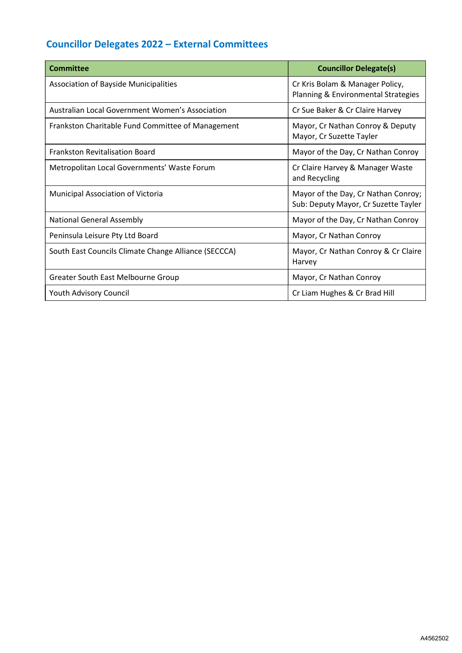## Councillor Delegates 2022 – External Committees

| <b>Committee</b>                                     | <b>Councillor Delegate(s)</b>                                               |
|------------------------------------------------------|-----------------------------------------------------------------------------|
| <b>Association of Bayside Municipalities</b>         | Cr Kris Bolam & Manager Policy,<br>Planning & Environmental Strategies      |
| Australian Local Government Women's Association      | Cr Sue Baker & Cr Claire Harvey                                             |
| Frankston Charitable Fund Committee of Management    | Mayor, Cr Nathan Conroy & Deputy<br>Mayor, Cr Suzette Tayler                |
| <b>Frankston Revitalisation Board</b>                | Mayor of the Day, Cr Nathan Conroy                                          |
| Metropolitan Local Governments' Waste Forum          | Cr Claire Harvey & Manager Waste<br>and Recycling                           |
| Municipal Association of Victoria                    | Mayor of the Day, Cr Nathan Conroy;<br>Sub: Deputy Mayor, Cr Suzette Tayler |
| <b>National General Assembly</b>                     | Mayor of the Day, Cr Nathan Conroy                                          |
| Peninsula Leisure Pty Ltd Board                      | Mayor, Cr Nathan Conroy                                                     |
| South East Councils Climate Change Alliance (SECCCA) | Mayor, Cr Nathan Conroy & Cr Claire<br>Harvey                               |
| Greater South East Melbourne Group                   | Mayor, Cr Nathan Conroy                                                     |
| <b>Youth Advisory Council</b>                        | Cr Liam Hughes & Cr Brad Hill                                               |